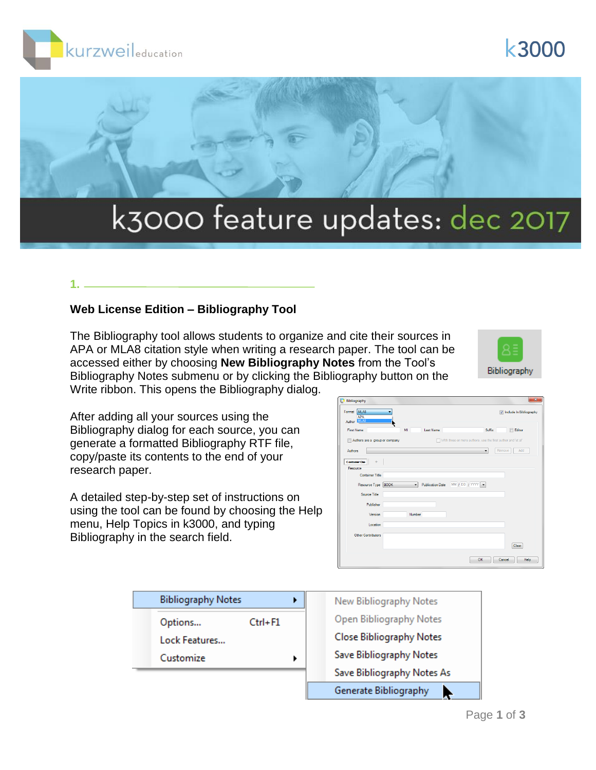





# k3000 feature updates: dec 2017

# **1.**

### **Web License Edition – Bibliography Tool**

The Bibliography tool allows students to organize and cite their sources in APA or MLA8 citation style when writing a research paper. The tool can be accessed either by choosing **New Bibliography Notes** from the Tool's Bibliography Notes submenu or by clicking the Bibliography button on the Write ribbon. This opens the Bibliography dialog.



After adding all your sources using the Bibliography dialog for each source, you can generate a formatted Bibliography RTF file, copy/paste its contents to the end of your research paper.

A detailed step-by-step set of instructions on using the tool can be found by choosing the Help menu, Help Topics in k3000, and typing Bibliography in the search field.

| MLA8<br>Format<br>Author MLAS<br>MI<br><b>Last Name</b><br>Suffix<br><b>First Name</b><br><b>Editor</b><br>With three or more authors, use the first author and 'et al'<br>Authors are a group or company<br>Remove<br>Add<br>Authors<br>۰<br><b>Container One</b><br>÷<br>Resource<br><b>Container Title</b><br>$MN / DD / TM / \sqrt{N}$<br>Resource Type BOOK<br><b>Publication Date</b><br>$\overline{\phantom{a}}$<br>Source Title<br>Publisher<br>Version<br>Number<br>Location<br>Other Contributors<br>Clear | Bibliography | x                       |
|----------------------------------------------------------------------------------------------------------------------------------------------------------------------------------------------------------------------------------------------------------------------------------------------------------------------------------------------------------------------------------------------------------------------------------------------------------------------------------------------------------------------|--------------|-------------------------|
|                                                                                                                                                                                                                                                                                                                                                                                                                                                                                                                      |              | Include In Bibliography |
|                                                                                                                                                                                                                                                                                                                                                                                                                                                                                                                      |              |                         |
|                                                                                                                                                                                                                                                                                                                                                                                                                                                                                                                      |              |                         |
|                                                                                                                                                                                                                                                                                                                                                                                                                                                                                                                      |              |                         |
|                                                                                                                                                                                                                                                                                                                                                                                                                                                                                                                      |              |                         |
|                                                                                                                                                                                                                                                                                                                                                                                                                                                                                                                      |              |                         |
|                                                                                                                                                                                                                                                                                                                                                                                                                                                                                                                      |              |                         |
|                                                                                                                                                                                                                                                                                                                                                                                                                                                                                                                      |              |                         |
|                                                                                                                                                                                                                                                                                                                                                                                                                                                                                                                      |              |                         |
|                                                                                                                                                                                                                                                                                                                                                                                                                                                                                                                      |              |                         |
|                                                                                                                                                                                                                                                                                                                                                                                                                                                                                                                      |              |                         |
|                                                                                                                                                                                                                                                                                                                                                                                                                                                                                                                      |              |                         |
|                                                                                                                                                                                                                                                                                                                                                                                                                                                                                                                      |              |                         |
|                                                                                                                                                                                                                                                                                                                                                                                                                                                                                                                      |              |                         |
|                                                                                                                                                                                                                                                                                                                                                                                                                                                                                                                      |              |                         |
|                                                                                                                                                                                                                                                                                                                                                                                                                                                                                                                      |              |                         |
|                                                                                                                                                                                                                                                                                                                                                                                                                                                                                                                      |              |                         |
| OK<br>Cancel                                                                                                                                                                                                                                                                                                                                                                                                                                                                                                         |              | Help                    |

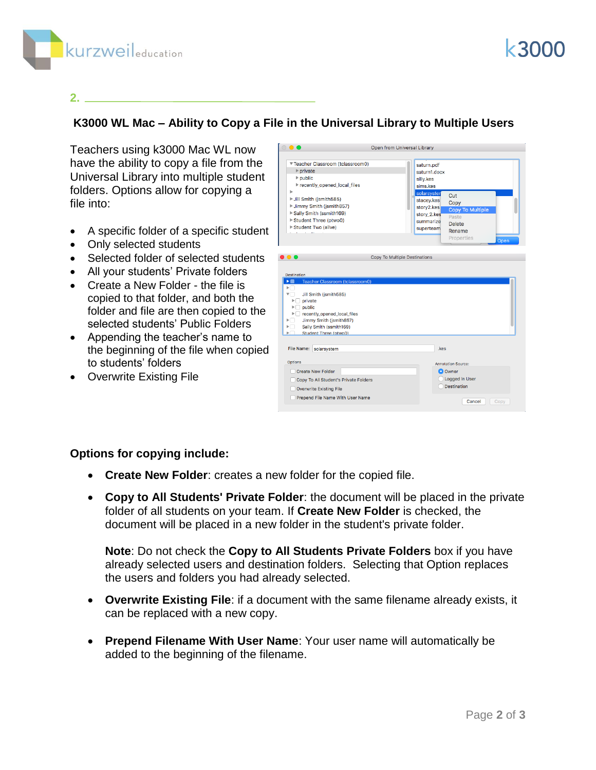



#### **2.**

## **K3000 WL Mac – Ability to Copy a File in the Universal Library to Multiple Users**

Teachers using k3000 Mac WL now have the ability to copy a file from the Universal Library into multiple student folders. Options allow for copying a file into:

- A specific folder of a specific student
- Only selected students
- Selected folder of selected students
- All your students' Private folders
- Create a New Folder the file is copied to that folder, and both the folder and file are then copied to the selected students' Public Folders
- Appending the teacher's name to the beginning of the file when copied to students' folders
- Overwrite Existing File

|                                                                                                                                                                                                                                                                                                                           | Open from Universal Library                                                                                                                                                                                                                 |
|---------------------------------------------------------------------------------------------------------------------------------------------------------------------------------------------------------------------------------------------------------------------------------------------------------------------------|---------------------------------------------------------------------------------------------------------------------------------------------------------------------------------------------------------------------------------------------|
| ▼ Teacher Classroom (tclassroom0)<br>$\rightharpoonup$ private<br>$\triangleright$ public<br>recently_opened_local_files<br>ь<br>▶ Jill Smith (jsmith585)<br>▶ Jimmy Smith (jsmith857)<br>Sally Smith (ssmith169)<br>Student Three (ptwo0)<br>Student Two (alive)                                                         | saturn.pdf<br>saturn1.docx<br>silly.kes<br>sims.kes<br>solarsyster<br>Cut<br>stacey.kes<br>Copy<br>story2.kes<br><b>Copy To Multiple</b><br>story_2.kes<br>Paste<br>summarize<br><b>Delete</b><br>superteam<br>Rename<br>Properties<br>Open |
|                                                                                                                                                                                                                                                                                                                           |                                                                                                                                                                                                                                             |
|                                                                                                                                                                                                                                                                                                                           | Copy To Multiple Destinations                                                                                                                                                                                                               |
| $\bullet$ $\bullet$<br>Destination<br>Teacher Classroom (tclassroom0)<br>$\blacktriangleright$ $\blacksquare$<br>►⊓<br>▼□<br>Jill Smith (jsmith585)<br>$\blacktriangleright$ private<br>$\Box$ public<br>Þ.<br>recently_opened_local_files<br>Jimmy Smith (ismith857)<br>Sally Smith (ssmith169)<br>Student Three (ptwo0) |                                                                                                                                                                                                                                             |
| File Name: solarsystem                                                                                                                                                                                                                                                                                                    | .kes                                                                                                                                                                                                                                        |
| <b>Options</b><br><b>Create New Folder</b><br>Copy To All Student's Private Folders<br><b>Overwrite Existing File</b>                                                                                                                                                                                                     | <b>Annotation Source:</b><br><b>O</b> Owner<br>Logged In User<br><b>Destination</b>                                                                                                                                                         |

#### **Options for copying include:**

- **Create New Folder**: creates a new folder for the copied file.
- **Copy to All Students' Private Folder**: the document will be placed in the private folder of all students on your team. If **Create New Folder** is checked, the document will be placed in a new folder in the student's private folder.

**Note**: Do not check the **Copy to All Students Private Folders** box if you have already selected users and destination folders. Selecting that Option replaces the users and folders you had already selected.

- **Overwrite Existing File**: if a document with the same filename already exists, it can be replaced with a new copy.
- **Prepend Filename With User Name**: Your user name will automatically be added to the beginning of the filename.